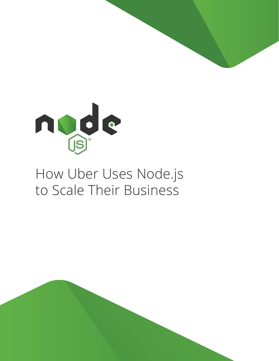

# How Uber Uses Node.js to Scale Their Business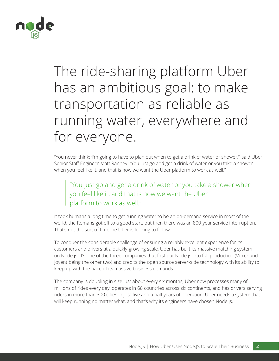

# The ride-sharing platform Uber has an ambitious goal: to make transportation as reliable as running water, everywhere and for everyone.

"You never think: 'I'm going to have to plan out when to get a drink of water or shower,'" said Uber Senior Staff Engineer Matt Ranney. "You just go and get a drink of water or you take a shower when you feel like it, and that is how we want the Uber platform to work as well."

 "You just go and get a drink of water or you take a shower when you feel like it, and that is how we want the Uber platform to work as well."

It took humans a long time to get running water to be an on-demand service in most of the world; the Romans got off to a good start, but then there was an 800-year service interruption. That's not the sort of timeline Uber is looking to follow.

To conquer the considerable challenge of ensuring a reliably excellent experience for its customers and drivers at a quickly-growing scale, Uber has built its massive matching system on Node.js. It's one of the three companies that first put Node.js into full production (Voxer and Joyent being the other two) and credits the open source server-side technology with its ability to keep up with the pace of its massive business demands.

The company is doubling in size just about every six months; Uber now processes many of millions of rides every day, operates in 68 countries across six continents, and has drivers serving riders in more than 300 cities in just five and a half years of operation. Uber needs a system that will keep running no matter what, and that's why its engineers have chosen Node.js.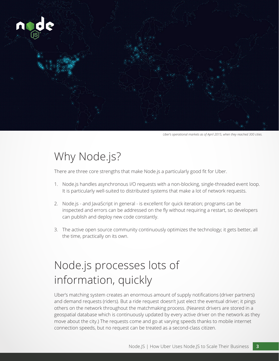

*Uber's operational markets as of April 2015, when they reached 300 cities.*

### Why Node.js?

There are three core strengths that make Node.js a particularly good fit for Uber.

- 1. Node.js handles asynchronous I/O requests with a non-blocking, single-threaded event loop. It is particularly well-suited to distributed systems that make a lot of network requests.
- 2. Node.js and JavaScript in general is excellent for quick iteration; programs can be inspected and errors can be addressed on the fly without requiring a restart, so developers can publish and deploy new code constantly.
- 3. The active open source community continuously optimizes the technology; it gets better, all the time, practically on its own.

## Node.js processes lots of information, quickly

Uber's matching system creates an enormous amount of supply notifications (driver partners) and demand requests (riders). But a ride request doesn't just elect the eventual driver; it pings others on the network throughout the matchmaking process. (Nearest drivers are stored in a geospatial database which is continuously updated by every active driver on the network as they move about the city.) The requests come and go at varying speeds thanks to mobile internet connection speeds, but no request can be treated as a second-class citizen.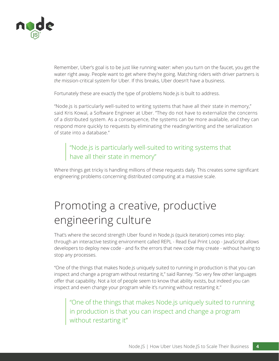

Remember, Uber's goal is to be just like running water: when you turn on the faucet, you get the water right away. People want to get where they're going. Matching riders with driver partners is *the* mission-critical system for Uber. If this breaks, Uber doesn't have a business.

Fortunately these are exactly the type of problems Node.js is built to address.

"Node.js is particularly well-suited to writing systems that have all their state in memory," said Kris Kowal, a Software Engineer at Uber. "They do not have to externalize the concerns of a distributed system. As a consequence, the systems can be more available, and they can respond more quickly to requests by eliminating the reading/writing and the serialization of state into a database."

### "Node.js is particularly well-suited to writing systems that have all their state in memory"

Where things get tricky is handling millions of these requests daily. This creates some significant engineering problems concerning distributed computing at a massive scale.

## Promoting a creative, productive engineering culture

That's where the second strength Uber found in Node.js (quick iteration) comes into play: through an interactive testing environment called REPL - Read Eval Print Loop - JavaScript allows developers to deploy new code - and fix the errors that new code may create - without having to stop any processes.

"One of the things that makes Node.js uniquely suited to running in production is that you can inspect and change a program without restarting it," said Ranney. "So very few other languages offer that capability. Not a lot of people seem to know that ability exists, but indeed you can inspect and even change your program while it's running without restarting it."

 "One of the things that makes Node.js uniquely suited to running in production is that you can inspect and change a program without restarting it"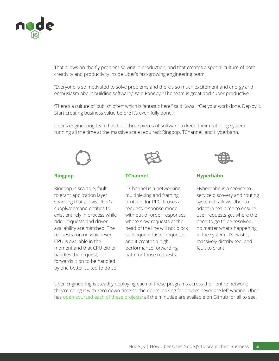

That allows on-the-fly problem solving in production, and that creates a special culture of both creativity and productivity inside Uber's fast-growing engineering team.

"Everyone is so motivated to solve problems and there's so much excitement and energy and enthusiasm about building software," said Ranney. "The team is great and super productive."

"There's a culture of 'publish often' which is fantastic here," said Kowal. "Get your work done. Deploy it. Start creating business value before it's even fully done."

Uber's engineering team has built three pieces of software to keep their matching system running all the time at the massive scale required: Ringpop, TChannel, and Hyberbahn.



#### **[Ringpop](https://github.com/uber/ringpop-node)**

Ringpop is scalable, faulttolerant application layer sharding that allows Uber's supply/demand entities to exist entirely in process while rider requests and driver availability are matched. The requests run on whichever CPU is available in the moment and that CPU either handles the request, or forwards it on to be handled by one better suited to do so.



#### **[TChannel](https://github.com/uber/tchannel-node)**

 TChannel is a networking multiplexing and framing protocol for RPC. It uses a request/response model with out-of-order responses, where slow requests at the head of the line will not block subsequent faster requests, and it creates a highperformance forwarding path for those requests.



#### **[Hyperbahn](https://github.com/uber/hyperbahn)**

Hyberbahn is a service-toservice discovery and routing system. It allows Uber to adapt in real time to ensure user requests get where the need to go to be resolved, no matter what's happening in the system. It's elastic, massively distributed, and fault tolerant.

Uber Engineering is steadily deploying each of these programs across their entire network; they're doing it with zero down-time so the riders looking for drivers never are left waiting. Uber has [open-sourced each of these projects](http://uber.github.io/); all the minutiae are available on Github for all to see.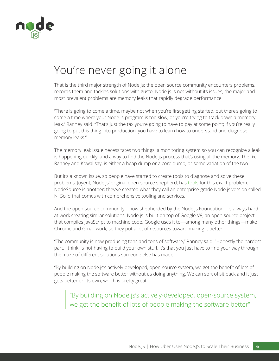

### You're never going it alone

That is the third major strength of Node.js: the open source community encounters problems, records them and tackles solutions with gusto. Node.js is not without its issues; the major and most prevalent problems are memory leaks that rapidly degrade performance.

"There is going to come a time, maybe not when you're first getting started, but there's going to come a time where your Node.js program is too slow, or you're trying to track down a memory leak," Ranney said. "That's just the tax you're going to have to pay at some point; if you're really going to put this thing into production, you have to learn how to understand and diagnose memory leaks."

The memory leak issue necessitates two things: a monitoring system so you can recognize a leak is happening quickly, and a way to find the Node.js process that's using all the memory. The fix, Ranney and Kowal say, is either a heap dump or a core dump, or some variation of the two.

But it's a known issue, so people have started to create tools to diagnose and solve these problems. Joyent, Node.js' original open-source shepherd, has [tools f](https://www.joyent.com/developers/node/debug)or this exact problem. NodeSource is another; they've created what they call an enterprise-grade Node.js version called N|Solid that comes with comprehensive tooling and services.

And the open source community—now shepherded by the Node.js Foundation—is always hard at work creating similar solutions. Node.js is built on top of Google V8, an open source project that compiles JavaScript to machine code. Google uses it to—among many other things—make Chrome and Gmail work, so they put a lot of resources toward making it better.

"The community is now producing tons and tons of software," Ranney said. "Honestly the hardest part, I think, is not having to build your own stuff, it's that you just have to find your way through the maze of different solutions someone else has made.

"By building on Node.js's actively-developed, open-source system, we get the benefit of lots of people making the software better without us doing anything. We can sort of sit back and it just gets better on its own, which is pretty great.

 "By building on Node.js's actively-developed, open-source system, we get the benefit of lots of people making the software better"